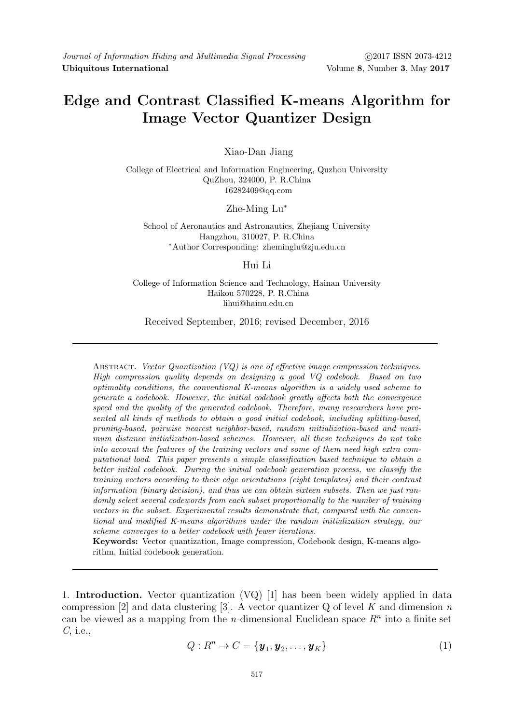# Edge and Contrast Classified K-means Algorithm for Image Vector Quantizer Design

Xiao-Dan Jiang

College of Electrical and Information Engineering, Quzhou University QuZhou, 324000, P. R.China 16282409@qq.com

# Zhe-Ming Lu<sup>∗</sup>

School of Aeronautics and Astronautics, Zhejiang University Hangzhou, 310027, P. R.China <sup>∗</sup>Author Corresponding: zheminglu@zju.edu.cn

## Hui Li

# College of Information Science and Technology, Hainan University Haikou 570228, P. R.China lihui@hainu.edu.cn

## Received September, 2016; revised December, 2016

ABSTRACT. Vector Quantization  $(VQ)$  is one of effective image compression techniques. High compression quality depends on designing a good VQ codebook. Based on two optimality conditions, the conventional K-means algorithm is a widely used scheme to generate a codebook. However, the initial codebook greatly affects both the convergence speed and the quality of the generated codebook. Therefore, many researchers have presented all kinds of methods to obtain a good initial codebook, including splitting-based, pruning-based, pairwise nearest neighbor-based, random initialization-based and maximum distance initialization-based schemes. However, all these techniques do not take into account the features of the training vectors and some of them need high extra computational load. This paper presents a simple classification based technique to obtain a better initial codebook. During the initial codebook generation process, we classify the training vectors according to their edge orientations (eight templates) and their contrast information (binary decision), and thus we can obtain sixteen subsets. Then we just randomly select several codewords from each subset proportionally to the number of training vectors in the subset. Experimental results demonstrate that, compared with the conventional and modified K-means algorithms under the random initialization strategy, our scheme converges to a better codebook with fewer iterations.

Keywords: Vector quantization, Image compression, Codebook design, K-means algorithm, Initial codebook generation.

1. Introduction. Vector quantization (VQ) [1] has been been widely applied in data compression [2] and data clustering [3]. A vector quantizer  $Q$  of level K and dimension n can be viewed as a mapping from the *n*-dimensional Euclidean space  $R<sup>n</sup>$  into a finite set C, i.e.,

$$
Q: R^n \to C = {\mathbf{y}_1, \mathbf{y}_2, \dots, \mathbf{y}_K}
$$
 (1)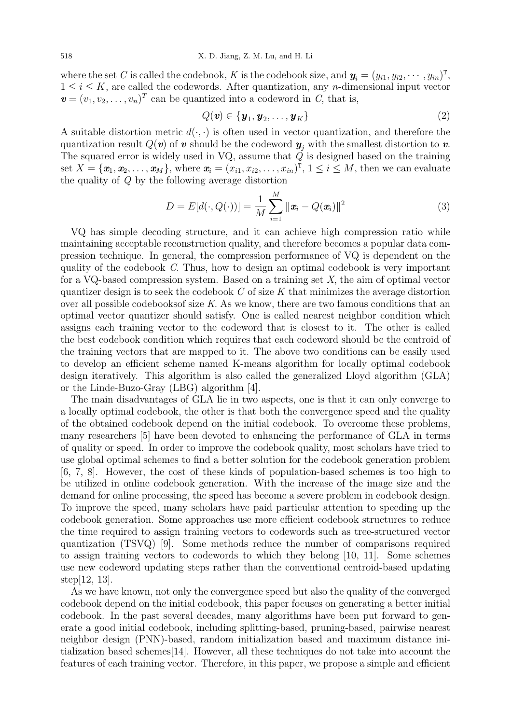where the set C is called the codebook, K is the codebook size, and  $\bm{y}_i = (y_{i1}, y_{i2}, \cdots, y_{in})^{\text{T}}$ ,  $1 \leq i \leq K$ , are called the codewords. After quantization, any *n*-dimensional input vector  $\mathbf{v} = (v_1, v_2, \dots, v_n)^T$  can be quantized into a codeword in C, that is,

$$
Q(\mathbf{v}) \in \{\mathbf{y}_1, \mathbf{y}_2, \dots, \mathbf{y}_K\} \tag{2}
$$

A suitable distortion metric  $d(\cdot, \cdot)$  is often used in vector quantization, and therefore the quantization result  $Q(v)$  of v should be the codeword  $y_i$  with the smallest distortion to v. The squared error is widely used in VQ, assume that  $\check{Q}$  is designed based on the training set  $X = \{x_1, x_2, \ldots, x_M\}$ , where  $\boldsymbol{x_i} = (x_{i1}, x_{i2}, \ldots, x_{in})^{\text{T}}, 1 \leq i \leq M$ , then we can evaluate the quality of Q by the following average distortion

$$
D = E[d(\cdot, Q(\cdot))] = \frac{1}{M} \sum_{i=1}^{M} ||\mathbf{x}_i - Q(\mathbf{x}_i)||^2
$$
\n(3)

VQ has simple decoding structure, and it can achieve high compression ratio while maintaining acceptable reconstruction quality, and therefore becomes a popular data compression technique. In general, the compression performance of VQ is dependent on the quality of the codebook  $C$ . Thus, how to design an optimal codebook is very important for a VQ-based compression system. Based on a training set  $X$ , the aim of optimal vector quantizer design is to seek the codebook  $C$  of size  $K$  that minimizes the average distortion over all possible codebooksof size K. As we know, there are two famous conditions that an optimal vector quantizer should satisfy. One is called nearest neighbor condition which assigns each training vector to the codeword that is closest to it. The other is called the best codebook condition which requires that each codeword should be the centroid of the training vectors that are mapped to it. The above two conditions can be easily used to develop an efficient scheme named K-means algorithm for locally optimal codebook design iteratively. This algorithm is also called the generalized Lloyd algorithm (GLA) or the Linde-Buzo-Gray (LBG) algorithm [4].

The main disadvantages of GLA lie in two aspects, one is that it can only converge to a locally optimal codebook, the other is that both the convergence speed and the quality of the obtained codebook depend on the initial codebook. To overcome these problems, many researchers [5] have been devoted to enhancing the performance of GLA in terms of quality or speed. In order to improve the codebook quality, most scholars have tried to use global optimal schemes to find a better solution for the codebook generation problem [6, 7, 8]. However, the cost of these kinds of population-based schemes is too high to be utilized in online codebook generation. With the increase of the image size and the demand for online processing, the speed has become a severe problem in codebook design. To improve the speed, many scholars have paid particular attention to speeding up the codebook generation. Some approaches use more efficient codebook structures to reduce the time required to assign training vectors to codewords such as tree-structured vector quantization (TSVQ) [9]. Some methods reduce the number of comparisons required to assign training vectors to codewords to which they belong [10, 11]. Some schemes use new codeword updating steps rather than the conventional centroid-based updating step[12, 13].

As we have known, not only the convergence speed but also the quality of the converged codebook depend on the initial codebook, this paper focuses on generating a better initial codebook. In the past several decades, many algorithms have been put forward to generate a good initial codebook, including splitting-based, pruning-based, pairwise nearest neighbor design (PNN)-based, random initialization based and maximum distance initialization based schemes[14]. However, all these techniques do not take into account the features of each training vector. Therefore, in this paper, we propose a simple and efficient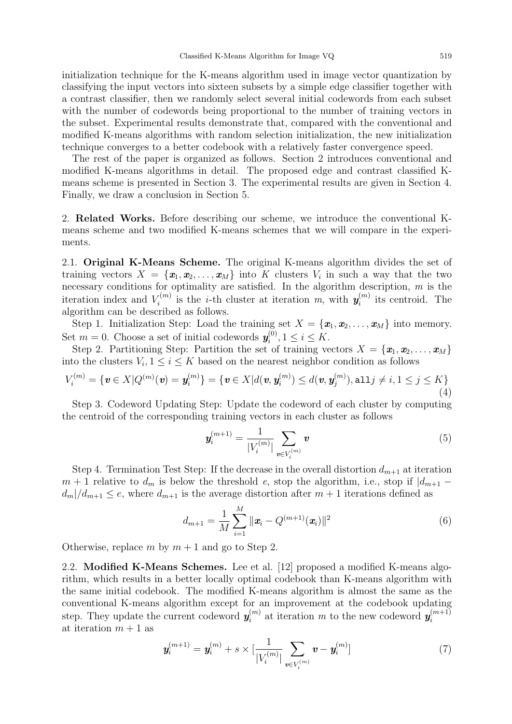initialization technique for the K-means algorithm used in image vector quantization by classifying the input vectors into sixteen subsets by a simple edge classifier together with a contrast classifier, then we randomly select several initial codewords from each subset with the number of codewords being proportional to the number of training vectors in the subset. Experimental results demonstrate that, compared with the conventional and modified K-means algorithms with random selection initialization, the new initialization technique converges to a better codebook with a relatively faster convergence speed.

The rest of the paper is organized as follows. Section 2 introduces conventional and modified K-means algorithms in detail. The proposed edge and contrast classified Kmeans scheme is presented in Section 3. The experimental results are given in Section 4. Finally, we draw a conclusion in Section 5.

2. Related Works. Before describing our scheme, we introduce the conventional Kmeans scheme and two modified K-means schemes that we will compare in the experiments.

2.1. Original K-Means Scheme. The original K-means algorithm divides the set of training vectors  $X = \{\boldsymbol{x}_1, \boldsymbol{x}_2, \dots, \boldsymbol{x}_M\}$  into K clusters  $V_i$  in such a way that the two necessary conditions for optimality are satisfied. In the algorithm description,  $m$  is the iteration index and  $V_i^{(m)}$  $z_i^{(m)}$  is the *i*-th cluster at iteration m, with  $y_i^{(m)}$  $i_i^{(m)}$  its centroid. The algorithm can be described as follows.

Step 1. Initialization Step: Load the training set  $X = {\mathbf{x}_1, \mathbf{x}_2, \dots, \mathbf{x}_M}$  into memory. Set  $m = 0$ . Choose a set of initial codewords  $y_i^{(0)}$  $i_i^{(0)}, 1 \leq i \leq K.$ 

Step 2. Partitioning Step: Partition the set of training vectors  $X = {\mathbf{x}_1, \mathbf{x}_2, \dots, \mathbf{x}_M}$ into the clusters  $V_i, 1 \leq i \leq K$  based on the nearest neighbor condition as follows

$$
V_i^{(m)} = \{ \mathbf{v} \in X | Q^{(m)}(\mathbf{v}) = \mathbf{y}_i^{(m)} \} = \{ \mathbf{v} \in X | d(\mathbf{v}, \mathbf{y}_i^{(m)}) \leq d(\mathbf{v}, \mathbf{y}_j^{(m)}), \text{all } j \neq i, 1 \leq j \leq K \}
$$
(4)

Step 3. Codeword Updating Step: Update the codeword of each cluster by computing the centroid of the corresponding training vectors in each cluster as follows

$$
\mathbf{y}_{i}^{(m+1)} = \frac{1}{|V_{i}^{(m)}|} \sum_{\mathbf{v} \in V_{i}^{(m)}} \mathbf{v}
$$
 (5)

Step 4. Termination Test Step: If the decrease in the overall distortion  $d_{m+1}$  at iteration  $m + 1$  relative to  $d_m$  is below the threshold e, stop the algorithm, i.e., stop if  $|d_{m+1}$  $d_m/d_{m+1} \leq e$ , where  $d_{m+1}$  is the average distortion after  $m+1$  iterations defined as

$$
d_{m+1} = \frac{1}{M} \sum_{i=1}^{M} ||\boldsymbol{x}_i - Q^{(m+1)}(\boldsymbol{x}_i)||^2
$$
(6)

Otherwise, replace m by  $m + 1$  and go to Step 2.

2.2. Modified K-Means Schemes. Lee et al. [12] proposed a modified K-means algorithm, which results in a better locally optimal codebook than K-means algorithm with the same initial codebook. The modified K-means algorithm is almost the same as the conventional K-means algorithm except for an improvement at the codebook updating step. They update the current codeword  $y_i^{(m)}$  $\mathbf{y}_i^{(m)}$  at iteration m to the new codeword  $\mathbf{y}_i^{(m+1)}$ i at iteration  $m + 1$  as

$$
\mathbf{y}_{i}^{(m+1)} = \mathbf{y}_{i}^{(m)} + s \times \left[\frac{1}{|V_{i}^{(m)}|} \sum_{\mathbf{v} \in V_{i}^{(m)}} \mathbf{v} - \mathbf{y}_{i}^{(m)}\right]
$$
(7)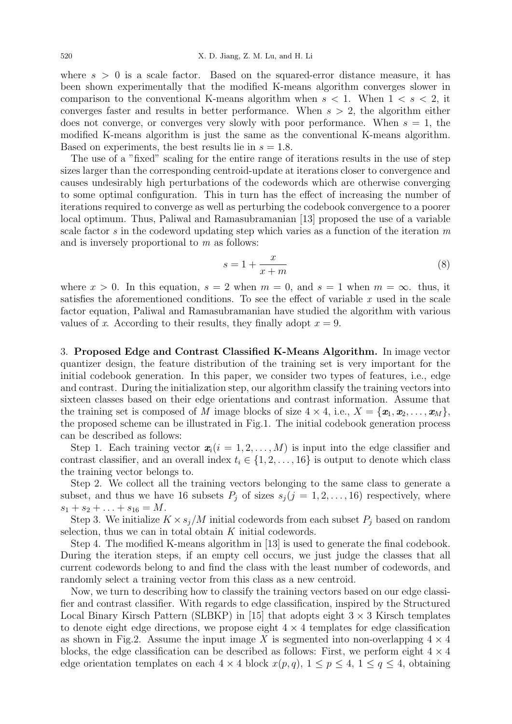where  $s > 0$  is a scale factor. Based on the squared-error distance measure, it has been shown experimentally that the modified K-means algorithm converges slower in comparison to the conventional K-means algorithm when  $s < 1$ . When  $1 < s < 2$ , it converges faster and results in better performance. When  $s > 2$ , the algorithm either does not converge, or converges very slowly with poor performance. When  $s = 1$ , the modified K-means algorithm is just the same as the conventional K-means algorithm. Based on experiments, the best results lie in  $s = 1.8$ .

The use of a "fixed" scaling for the entire range of iterations results in the use of step sizes larger than the corresponding centroid-update at iterations closer to convergence and causes undesirably high perturbations of the codewords which are otherwise converging to some optimal configuration. This in turn has the effect of increasing the number of iterations required to converge as well as perturbing the codebook convergence to a poorer local optimum. Thus, Paliwal and Ramasubramanian [13] proposed the use of a variable scale factor s in the codeword updating step which varies as a function of the iteration  $m$ and is inversely proportional to m as follows:

$$
s = 1 + \frac{x}{x+m} \tag{8}
$$

where  $x > 0$ . In this equation,  $s = 2$  when  $m = 0$ , and  $s = 1$  when  $m = \infty$ . thus, it satisfies the aforementioned conditions. To see the effect of variable  $x$  used in the scale factor equation, Paliwal and Ramasubramanian have studied the algorithm with various values of x. According to their results, they finally adopt  $x = 9$ .

3. Proposed Edge and Contrast Classified K-Means Algorithm. In image vector quantizer design, the feature distribution of the training set is very important for the initial codebook generation. In this paper, we consider two types of features, i.e., edge and contrast. During the initialization step, our algorithm classify the training vectors into sixteen classes based on their edge orientations and contrast information. Assume that the training set is composed of M image blocks of size  $4 \times 4$ , i.e.,  $X = \{x_1, x_2, \ldots, x_M\}$ , the proposed scheme can be illustrated in Fig.1. The initial codebook generation process can be described as follows:

Step 1. Each training vector  $\mathbf{x}_i(i = 1, 2, ..., M)$  is input into the edge classifier and contrast classifier, and an overall index  $t_i \in \{1, 2, \ldots, 16\}$  is output to denote which class the training vector belongs to.

Step 2. We collect all the training vectors belonging to the same class to generate a subset, and thus we have 16 subsets  $P_j$  of sizes  $s_j$  (j = 1, 2, ..., 16) respectively, where  $s_1 + s_2 + \ldots + s_{16} = M.$ 

Step 3. We initialize  $K \times s_i/M$  initial codewords from each subset  $P_i$  based on random selection, thus we can in total obtain K initial codewords.

Step 4. The modified K-means algorithm in [13] is used to generate the final codebook. During the iteration steps, if an empty cell occurs, we just judge the classes that all current codewords belong to and find the class with the least number of codewords, and randomly select a training vector from this class as a new centroid.

Now, we turn to describing how to classify the training vectors based on our edge classifier and contrast classifier. With regards to edge classification, inspired by the Structured Local Binary Kirsch Pattern (SLBKP) in [15] that adopts eight  $3 \times 3$  Kirsch templates to denote eight edge directions, we propose eight  $4 \times 4$  templates for edge classification as shown in Fig.2. Assume the input image X is segmented into non-overlapping  $4 \times 4$ blocks, the edge classification can be described as follows: First, we perform eight  $4 \times 4$ edge orientation templates on each  $4 \times 4$  block  $x(p,q)$ ,  $1 \leq p \leq 4$ ,  $1 \leq q \leq 4$ , obtaining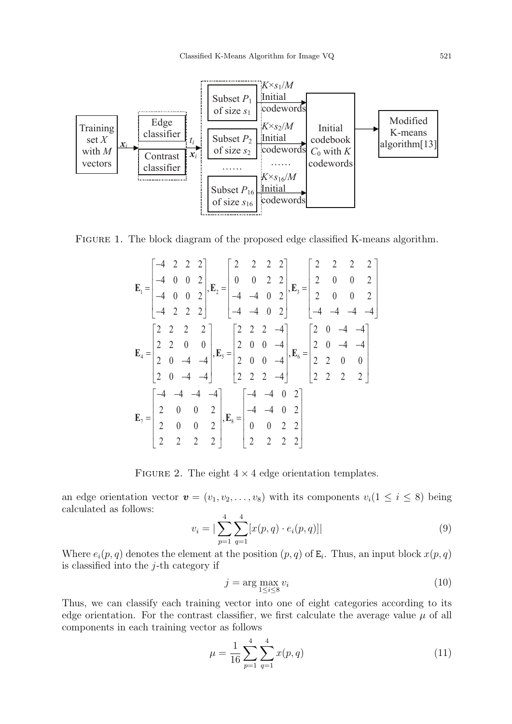

Figure 1. The block diagram of the proposed edge classified K-means algorithm.

$$
\mathbf{E}_{1} = \begin{bmatrix} -4 & 2 & 2 & 2 \\ -4 & 0 & 0 & 2 \\ -4 & 0 & 0 & 2 \\ -4 & 2 & 2 & 2 \end{bmatrix}, \mathbf{E}_{2} = \begin{bmatrix} 2 & 2 & 2 & 2 \\ 0 & 0 & 2 & 2 \\ -4 & -4 & 0 & 2 \\ -4 & -4 & 0 & 2 \end{bmatrix}, \mathbf{E}_{3} = \begin{bmatrix} 2 & 2 & 2 & 2 \\ 2 & 0 & 0 & 2 \\ 2 & 0 & 0 & 2 \\ -4 & -4 & -4 & -4 \end{bmatrix}
$$

$$
\mathbf{E}_{4} = \begin{bmatrix} 2 & 2 & 2 & 2 \\ 2 & 2 & 0 & 0 \\ 2 & 0 & -4 & -4 \\ 2 & 0 & -4 & -4 \end{bmatrix}, \mathbf{E}_{5} = \begin{bmatrix} 2 & 2 & 2 & -4 \\ 2 & 0 & 0 & -4 \\ 2 & 0 & 0 & -4 \\ 2 & 2 & 2 & -4 \end{bmatrix}, \mathbf{E}_{6} = \begin{bmatrix} 2 & 0 & -4 & -4 \\ 2 & 0 & -4 & -4 \\ 2 & 2 & 2 & 2 \end{bmatrix}
$$

$$
\mathbf{E}_{7} = \begin{bmatrix} -4 & -4 & -4 & -4 \\ 2 & 0 & 0 & 2 \\ 2 & 0 & 0 & 2 \\ 2 & 2 & 2 & 2 \end{bmatrix}, \mathbf{E}_{8} = \begin{bmatrix} -4 & -4 & 0 & 2 \\ -4 & -4 & 0 & 2 \\ 0 & 0 & 2 & 2 \\ 2 & 2 & 2 & 2 \end{bmatrix}
$$

FIGURE 2. The eight  $4 \times 4$  edge orientation templates.

an edge orientation vector  $\mathbf{v} = (v_1, v_2, \dots, v_8)$  with its components  $v_i (1 \leq i \leq 8)$  being calculated as follows:

$$
v_i = \left| \sum_{p=1}^{4} \sum_{q=1}^{4} [x(p, q) \cdot e_i(p, q)] \right| \tag{9}
$$

Where  $e_i(p,q)$  denotes the element at the position  $(p,q)$  of  $E_i$ . Thus, an input block  $x(p,q)$ is classified into the  $j$ -th category if

$$
j = \arg\max_{1 \le i \le 8} v_i \tag{10}
$$

Thus, we can classify each training vector into one of eight categories according to its edge orientation. For the contrast classifier, we first calculate the average value  $\mu$  of all components in each training vector as follows

$$
\mu = \frac{1}{16} \sum_{p=1}^{4} \sum_{q=1}^{4} x(p, q)
$$
\n(11)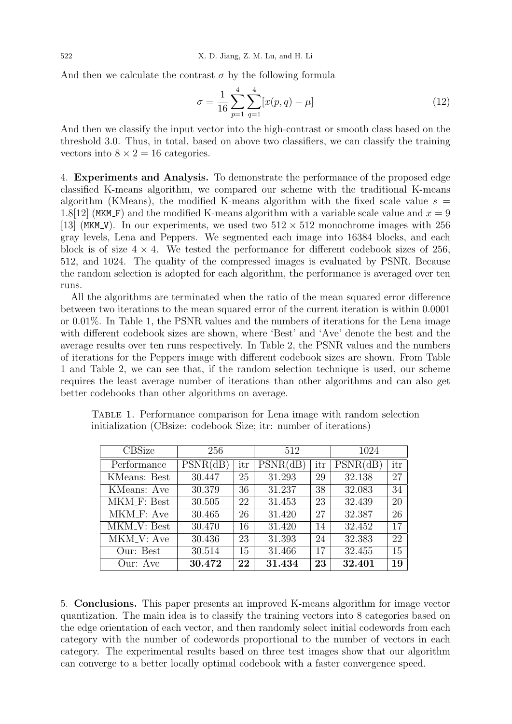And then we calculate the contrast  $\sigma$  by the following formula

$$
\sigma = \frac{1}{16} \sum_{p=1}^{4} \sum_{q=1}^{4} [x(p,q) - \mu]
$$
\n(12)

And then we classify the input vector into the high-contrast or smooth class based on the threshold 3.0. Thus, in total, based on above two classifiers, we can classify the training vectors into  $8 \times 2 = 16$  categories.

4. Experiments and Analysis. To demonstrate the performance of the proposed edge classified K-means algorithm, we compared our scheme with the traditional K-means algorithm (KMeans), the modified K-means algorithm with the fixed scale value  $s =$ 1.8[12] (MKM F) and the modified K-means algorithm with a variable scale value and  $x = 9$ [13] (MKM\_V). In our experiments, we used two  $512 \times 512$  monochrome images with 256 gray levels, Lena and Peppers. We segmented each image into 16384 blocks, and each block is of size  $4 \times 4$ . We tested the performance for different codebook sizes of 256, 512, and 1024. The quality of the compressed images is evaluated by PSNR. Because the random selection is adopted for each algorithm, the performance is averaged over ten runs.

All the algorithms are terminated when the ratio of the mean squared error difference between two iterations to the mean squared error of the current iteration is within 0.0001 or 0.01%. In Table 1, the PSNR values and the numbers of iterations for the Lena image with different codebook sizes are shown, where 'Best' and 'Ave' denote the best and the average results over ten runs respectively. In Table 2, the PSNR values and the numbers of iterations for the Peppers image with different codebook sizes are shown. From Table 1 and Table 2, we can see that, if the random selection technique is used, our scheme requires the least average number of iterations than other algorithms and can also get better codebooks than other algorithms on average.

| <b>CBSize</b>                  | 256      |     | 512      |     | 1024     |     |
|--------------------------------|----------|-----|----------|-----|----------|-----|
| Performance                    | PSNR(dB) | itr | PSNR(dB) | itr | PSNR(dB) | itr |
| KMeans: Best                   | 30.447   | 25  | 31.293   | 29  | 32.138   | 27  |
| KMeans: Ave                    | 30.379   | 36  | 31.237   | 38  | 32.083   | 34  |
| MKM_F: Best                    | 30.505   | 22  | 31.453   | 23  | 32.439   | 20  |
| $\overline{\text{MKM}}$ F: Ave | 30.465   | 26  | 31.420   | 27  | 32.387   | 26  |
| MKM <sub>-V</sub> : Best       | 30.470   | 16  | 31.420   | 14  | 32.452   | 17  |
| MKM <sub>-V</sub> : Ave        | 30.436   | 23  | 31.393   | 24  | 32.383   | 22  |
| Our: Best                      | 30.514   | 15  | 31.466   | 17  | 32.455   | 15  |
| Our: Ave                       | 30.472   | 22  | 31.434   | 23  | 32.401   | 19  |

Table 1. Performance comparison for Lena image with random selection initialization (CBsize: codebook Size; itr: number of iterations)

5. Conclusions. This paper presents an improved K-means algorithm for image vector quantization. The main idea is to classify the training vectors into 8 categories based on the edge orientation of each vector, and then randomly select initial codewords from each category with the number of codewords proportional to the number of vectors in each category. The experimental results based on three test images show that our algorithm can converge to a better locally optimal codebook with a faster convergence speed.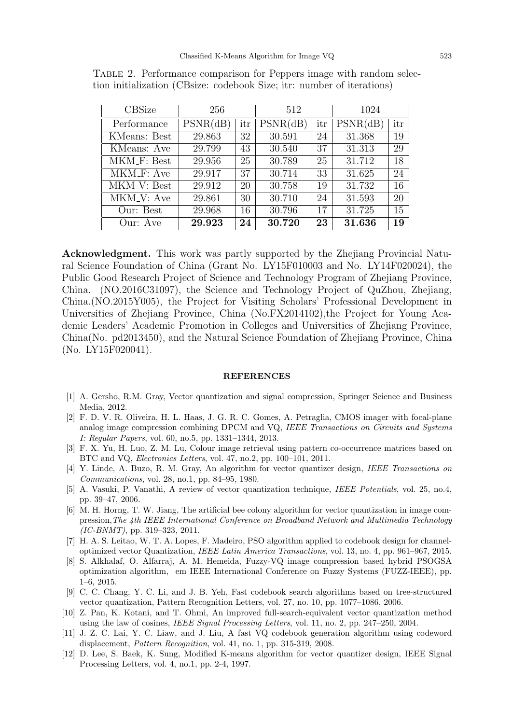| <b>CBSize</b>                  | 256      |     | 512      |     | 1024     |     |
|--------------------------------|----------|-----|----------|-----|----------|-----|
| Performance                    | PSNR(dB) | itr | PSNR(dB) | itr | PSNR(dB) | itr |
| KMeans: Best                   | 29.863   | 32  | 30.591   | 24  | 31.368   | 19  |
| KMeans: Ave                    | 29.799   | 43  | 30.540   | 37  | 31.313   | 29  |
| MKM_F: Best                    | 29.956   | 25  | 30.789   | 25  | 31.712   | 18  |
| MKM_F: Ave                     | 29.917   | 37  | 30.714   | 33  | 31.625   | 24  |
| $\overline{\text{MKM}}$ . Best | 29.912   | 20  | 30.758   | 19  | 31.732   | 16  |
| MKM <sub>-V</sub> : Ave        | 29.861   | 30  | 30.710   | 24  | 31.593   | 20  |
| Our: Best                      | 29.968   | 16  | 30.796   | 17  | 31.725   | 15  |
| Our: Ave                       | 29.923   | 24  | 30.720   | 23  | 31.636   | 19  |

Table 2. Performance comparison for Peppers image with random selection initialization (CBsize: codebook Size; itr: number of iterations)

Acknowledgment. This work was partly supported by the Zhejiang Provincial Natural Science Foundation of China (Grant No. LY15F010003 and No. LY14F020024), the Public Good Research Project of Science and Technology Program of Zhejiang Province, China. (NO.2016C31097), the Science and Technology Project of QuZhou, Zhejiang, China.(NO.2015Y005), the Project for Visiting Scholars' Professional Development in Universities of Zhejiang Province, China (No.FX2014102),the Project for Young Academic Leaders' Academic Promotion in Colleges and Universities of Zhejiang Province, China(No. pd2013450), and the Natural Science Foundation of Zhejiang Province, China (No. LY15F020041).

#### **REFERENCES**

- [1] A. Gersho, R.M. Gray, Vector quantization and signal compression, Springer Science and Business Media, 2012.
- [2] F. D. V. R. Oliveira, H. L. Haas, J. G. R. C. Gomes, A. Petraglia, CMOS imager with focal-plane analog image compression combining DPCM and VQ, IEEE Transactions on Circuits and Systems I: Regular Papers, vol. 60, no.5, pp. 1331–1344, 2013.
- [3] F. X. Yu, H. Luo, Z. M. Lu, Colour image retrieval using pattern co-occurrence matrices based on BTC and VQ, Electronics Letters, vol. 47, no.2, pp. 100–101, 2011.
- [4] Y. Linde, A. Buzo, R. M. Gray, An algorithm for vector quantizer design, IEEE Transactions on Communications, vol. 28, no.1, pp. 84–95, 1980.
- [5] A. Vasuki, P. Vanathi, A review of vector quantization technique, IEEE Potentials, vol. 25, no.4, pp. 39–47, 2006.
- [6] M. H. Horng, T. W. Jiang, The artificial bee colony algorithm for vector quantization in image compression,The 4th IEEE International Conference on Broadband Network and Multimedia Technology (IC-BNMT), pp. 319–323, 2011.
- [7] H. A. S. Leitao, W. T. A. Lopes, F. Madeiro, PSO algorithm applied to codebook design for channeloptimized vector Quantization, IEEE Latin America Transactions, vol. 13, no. 4, pp. 961–967, 2015.
- [8] S. Alkhalaf, O. Alfarraj, A. M. Hemeida, Fuzzy-VQ image compression based hybrid PSOGSA optimization algorithm, em IEEE International Conference on Fuzzy Systems (FUZZ-IEEE), pp. 1–6, 2015.
- [9] C. C. Chang, Y. C. Li, and J. B. Yeh, Fast codebook search algorithms based on tree-structured vector quantization, Pattern Recognition Letters, vol. 27, no. 10, pp. 1077–1086, 2006.
- [10] Z. Pan, K. Kotani, and T. Ohmi, An improved full-search-equivalent vector quantization method using the law of cosines, IEEE Signal Processing Letters, vol. 11, no. 2, pp. 247–250, 2004.
- [11] J. Z. C. Lai, Y. C. Liaw, and J. Liu, A fast VQ codebook generation algorithm using codeword displacement, Pattern Recognition, vol. 41, no. 1, pp. 315-319, 2008.
- [12] D. Lee, S. Baek, K. Sung, Modified K-means algorithm for vector quantizer design, IEEE Signal Processing Letters, vol. 4, no.1, pp. 2-4, 1997.